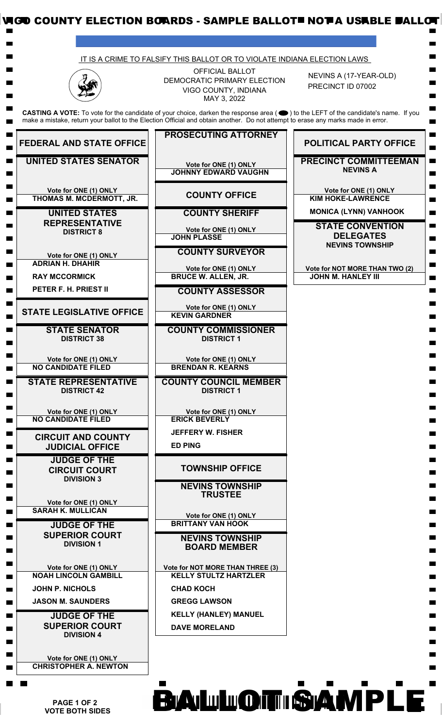

 **PAGE 1 OF 2 VOTE BOTH SIDES**